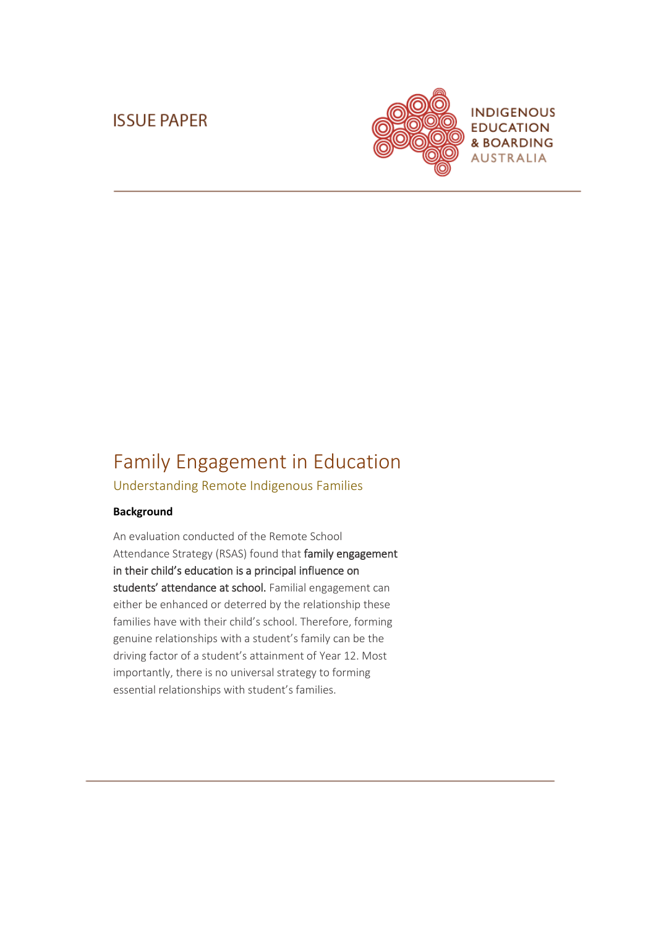### **ISSUE PAPER**



# Family Engagement in Education

Understanding Remote Indigenous Families

#### **Background**

An evaluation conducted of the Remote School Attendance Strategy (RSAS) found that family engagement in their child's education is a principal influence on students' attendance at school. Familial engagement can either be enhanced or deterred by the relationship these families have with their child's school. Therefore, forming genuine relationships with a student's family can be the driving factor of a student's attainment of Year 12. Most importantly, there is no universal strategy to forming essential relationships with student's families.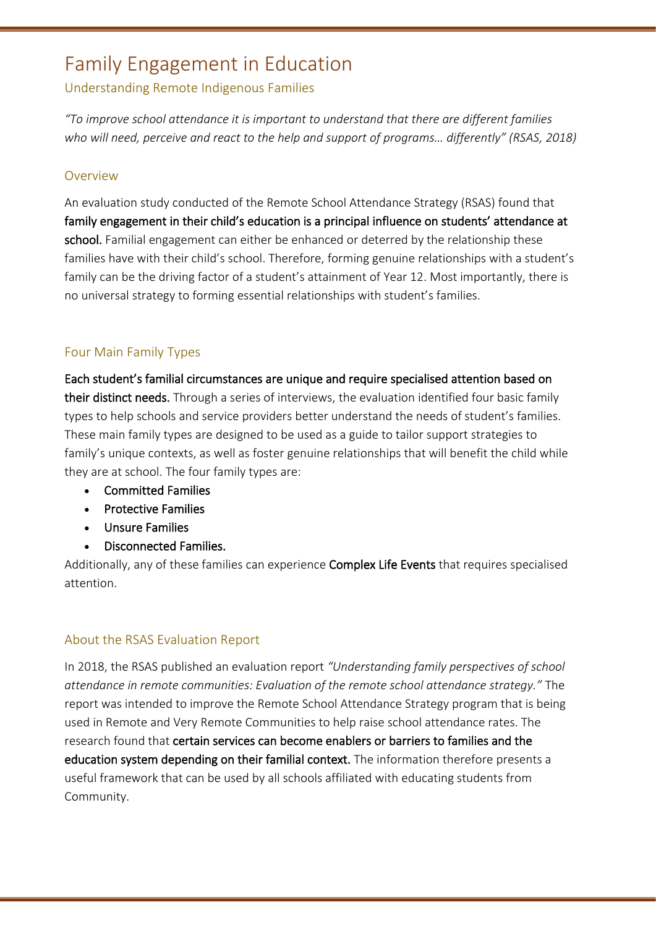## Family Engagement in Education

### Understanding Remote Indigenous Families

*"To improve school attendance it is important to understand that there are different families who will need, perceive and react to the help and support of programs… differently" (RSAS, 2018)*

### Overview

An evaluation study conducted of the Remote School Attendance Strategy (RSAS) found that family engagement in their child's education is a principal influence on students' attendance at school. Familial engagement can either be enhanced or deterred by the relationship these families have with their child's school. Therefore, forming genuine relationships with a student's family can be the driving factor of a student's attainment of Year 12. Most importantly, there is no universal strategy to forming essential relationships with student's families.

### Four Main Family Types

Each student's familial circumstances are unique and require specialised attention based on their distinct needs. Through a series of interviews, the evaluation identified four basic family types to help schools and service providers better understand the needs of student's families. These main family types are designed to be used as a guide to tailor support strategies to family's unique contexts, as well as foster genuine relationships that will benefit the child while they are at school. The four family types are:

- Committed Families
- Protective Families
- Unsure Families
- Disconnected Families.

Additionally, any of these families can experience Complex Life Events that requires specialised attention.

### About the RSAS Evaluation Report

In 2018, the RSAS published an evaluation report *"Understanding family perspectives of school attendance in remote communities: Evaluation of the remote school attendance strategy."* The report was intended to improve the Remote School Attendance Strategy program that is being used in Remote and Very Remote Communities to help raise school attendance rates. The research found that certain services can become enablers or barriers to families and the education system depending on their familial context. The information therefore presents a useful framework that can be used by all schools affiliated with educating students from Community.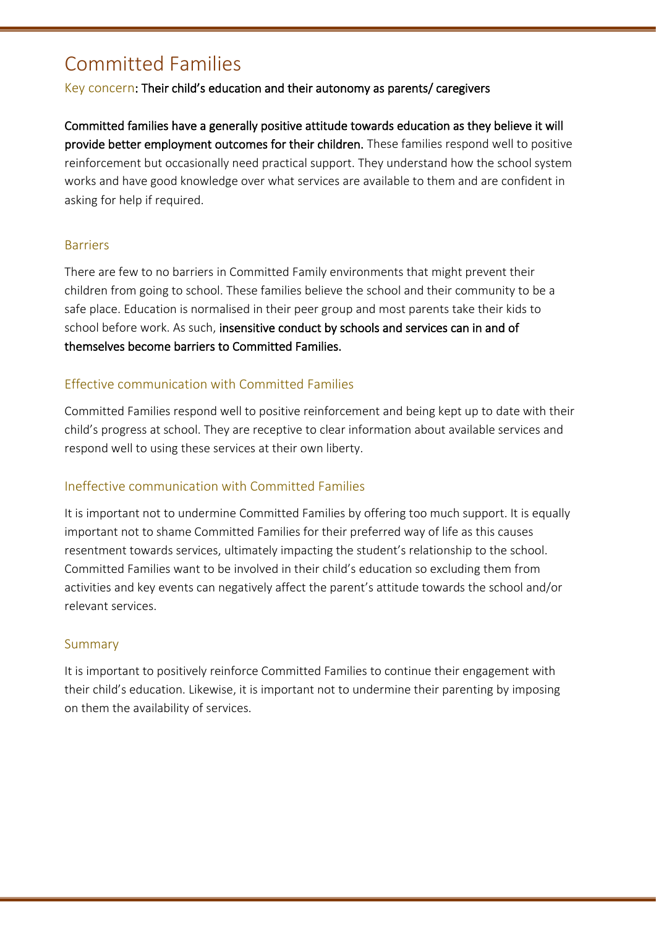# Committed Families

### Key concern: Their child's education and their autonomy as parents/ caregivers

Committed families have a generally positive attitude towards education as they believe it will provide better employment outcomes for their children. These families respond well to positive reinforcement but occasionally need practical support. They understand how the school system works and have good knowledge over what services are available to them and are confident in asking for help if required.

### Barriers

There are few to no barriers in Committed Family environments that might prevent their children from going to school. These families believe the school and their community to be a safe place. Education is normalised in their peer group and most parents take their kids to school before work. As such, insensitive conduct by schools and services can in and of themselves become barriers to Committed Families.

### Effective communication with Committed Families

Committed Families respond well to positive reinforcement and being kept up to date with their child's progress at school. They are receptive to clear information about available services and respond well to using these services at their own liberty.

### Ineffective communication with Committed Families

It is important not to undermine Committed Families by offering too much support. It is equally important not to shame Committed Families for their preferred way of life as this causes resentment towards services, ultimately impacting the student's relationship to the school. Committed Families want to be involved in their child's education so excluding them from activities and key events can negatively affect the parent's attitude towards the school and/or relevant services.

### Summary

It is important to positively reinforce Committed Families to continue their engagement with their child's education. Likewise, it is important not to undermine their parenting by imposing on them the availability of services.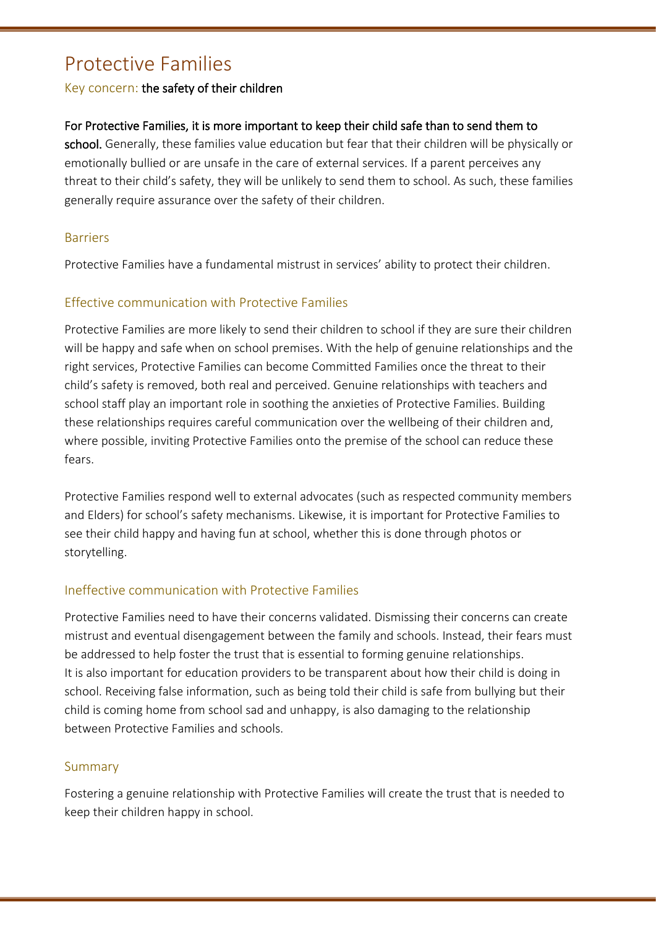## Protective Families

### Key concern: the safety of their children

### For Protective Families, it is more important to keep their child safe than to send them to

school. Generally, these families value education but fear that their children will be physically or emotionally bullied or are unsafe in the care of external services. If a parent perceives any threat to their child's safety, they will be unlikely to send them to school. As such, these families generally require assurance over the safety of their children.

### **Barriers**

Protective Families have a fundamental mistrust in services' ability to protect their children.

### Effective communication with Protective Families

Protective Families are more likely to send their children to school if they are sure their children will be happy and safe when on school premises. With the help of genuine relationships and the right services, Protective Families can become Committed Families once the threat to their child's safety is removed, both real and perceived. Genuine relationships with teachers and school staff play an important role in soothing the anxieties of Protective Families. Building these relationships requires careful communication over the wellbeing of their children and, where possible, inviting Protective Families onto the premise of the school can reduce these fears.

Protective Families respond well to external advocates (such as respected community members and Elders) for school's safety mechanisms. Likewise, it is important for Protective Families to see their child happy and having fun at school, whether this is done through photos or storytelling.

### Ineffective communication with Protective Families

Protective Families need to have their concerns validated. Dismissing their concerns can create mistrust and eventual disengagement between the family and schools. Instead, their fears must be addressed to help foster the trust that is essential to forming genuine relationships. It is also important for education providers to be transparent about how their child is doing in school. Receiving false information, such as being told their child is safe from bullying but their child is coming home from school sad and unhappy, is also damaging to the relationship between Protective Families and schools.

### Summary

Fostering a genuine relationship with Protective Families will create the trust that is needed to keep their children happy in school.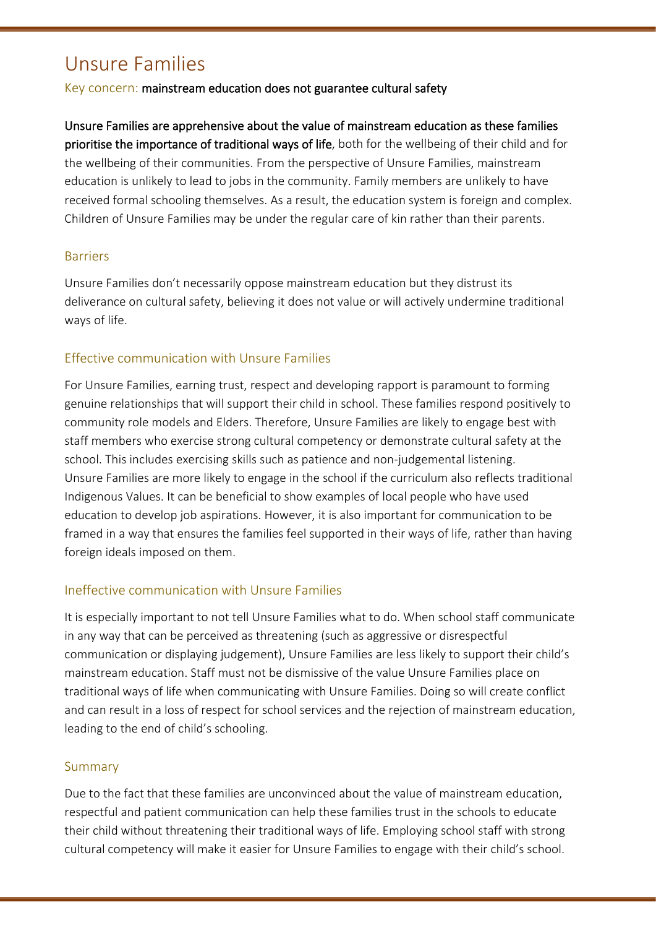# Unsure Families

Key concern: mainstream education does not guarantee cultural safety

Unsure Families are apprehensive about the value of mainstream education as these families prioritise the importance of traditional ways of life, both for the wellbeing of their child and for the wellbeing of their communities. From the perspective of Unsure Families, mainstream education is unlikely to lead to jobs in the community. Family members are unlikely to have received formal schooling themselves. As a result, the education system is foreign and complex. Children of Unsure Families may be under the regular care of kin rather than their parents.

### Barriers

Unsure Families don't necessarily oppose mainstream education but they distrust its deliverance on cultural safety, believing it does not value or will actively undermine traditional ways of life.

### Effective communication with Unsure Families

For Unsure Families, earning trust, respect and developing rapport is paramount to forming genuine relationships that will support their child in school. These families respond positively to community role models and Elders. Therefore, Unsure Families are likely to engage best with staff members who exercise strong cultural competency or demonstrate cultural safety at the school. This includes exercising skills such as patience and non-judgemental listening. Unsure Families are more likely to engage in the school if the curriculum also reflects traditional Indigenous Values. It can be beneficial to show examples of local people who have used education to develop job aspirations. However, it is also important for communication to be framed in a way that ensures the families feel supported in their ways of life, rather than having foreign ideals imposed on them.

### Ineffective communication with Unsure Families

It is especially important to not tell Unsure Families what to do. When school staff communicate in any way that can be perceived as threatening (such as aggressive or disrespectful communication or displaying judgement), Unsure Families are less likely to support their child's mainstream education. Staff must not be dismissive of the value Unsure Families place on traditional ways of life when communicating with Unsure Families. Doing so will create conflict and can result in a loss of respect for school services and the rejection of mainstream education, leading to the end of child's schooling.

### Summary

Due to the fact that these families are unconvinced about the value of mainstream education, respectful and patient communication can help these families trust in the schools to educate their child without threatening their traditional ways of life. Employing school staff with strong cultural competency will make it easier for Unsure Families to engage with their child's school.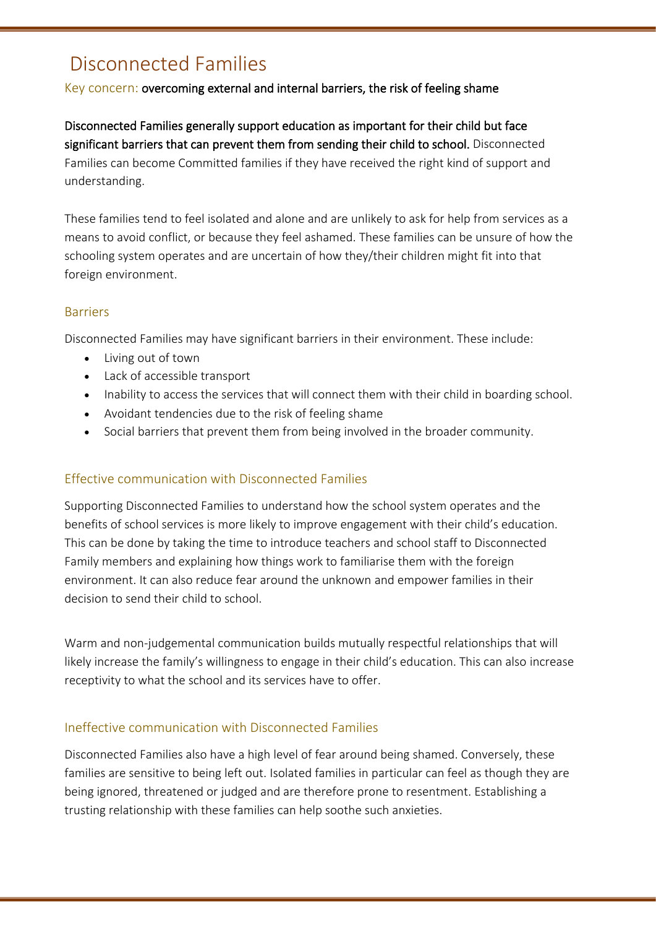# Disconnected Families

### Key concern: overcoming external and internal barriers, the risk of feeling shame

Disconnected Families generally support education as important for their child but face significant barriers that can prevent them from sending their child to school. Disconnected Families can become Committed families if they have received the right kind of support and understanding.

These families tend to feel isolated and alone and are unlikely to ask for help from services as a means to avoid conflict, or because they feel ashamed. These families can be unsure of how the schooling system operates and are uncertain of how they/their children might fit into that foreign environment.

### **Barriers**

Disconnected Families may have significant barriers in their environment. These include:

- Living out of town
- Lack of accessible transport
- Inability to access the services that will connect them with their child in boarding school.
- Avoidant tendencies due to the risk of feeling shame
- Social barriers that prevent them from being involved in the broader community.

### Effective communication with Disconnected Families

Supporting Disconnected Families to understand how the school system operates and the benefits of school services is more likely to improve engagement with their child's education. This can be done by taking the time to introduce teachers and school staff to Disconnected Family members and explaining how things work to familiarise them with the foreign environment. It can also reduce fear around the unknown and empower families in their decision to send their child to school.

Warm and non-judgemental communication builds mutually respectful relationships that will likely increase the family's willingness to engage in their child's education. This can also increase receptivity to what the school and its services have to offer.

### Ineffective communication with Disconnected Families

Disconnected Families also have a high level of fear around being shamed. Conversely, these families are sensitive to being left out. Isolated families in particular can feel as though they are being ignored, threatened or judged and are therefore prone to resentment. Establishing a trusting relationship with these families can help soothe such anxieties.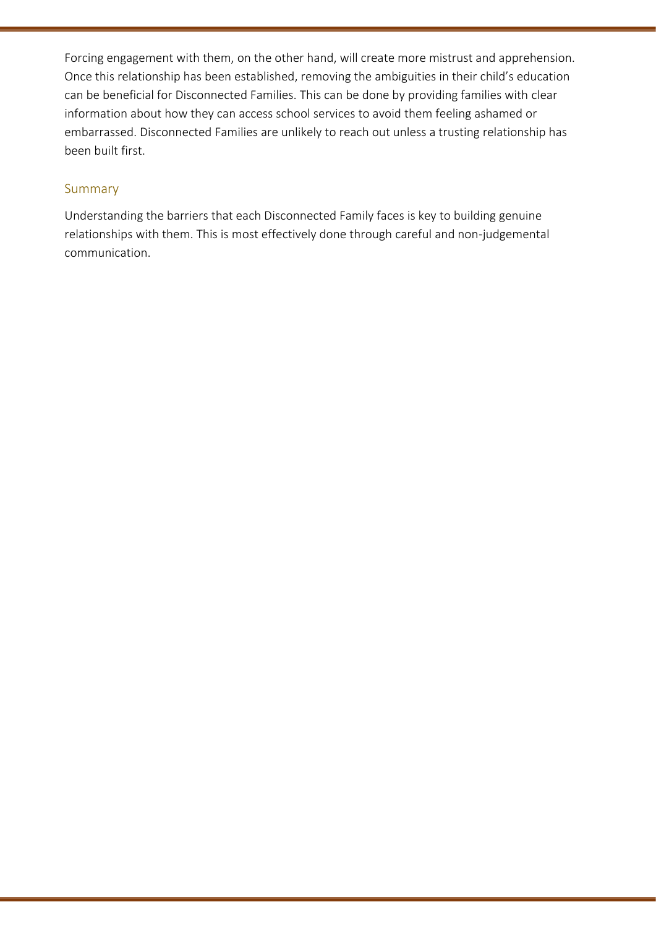Forcing engagement with them, on the other hand, will create more mistrust and apprehension. Once this relationship has been established, removing the ambiguities in their child's education can be beneficial for Disconnected Families. This can be done by providing families with clear information about how they can access school services to avoid them feeling ashamed or embarrassed. Disconnected Families are unlikely to reach out unless a trusting relationship has been built first.

### Summary

Understanding the barriers that each Disconnected Family faces is key to building genuine relationships with them. This is most effectively done through careful and non-judgemental communication.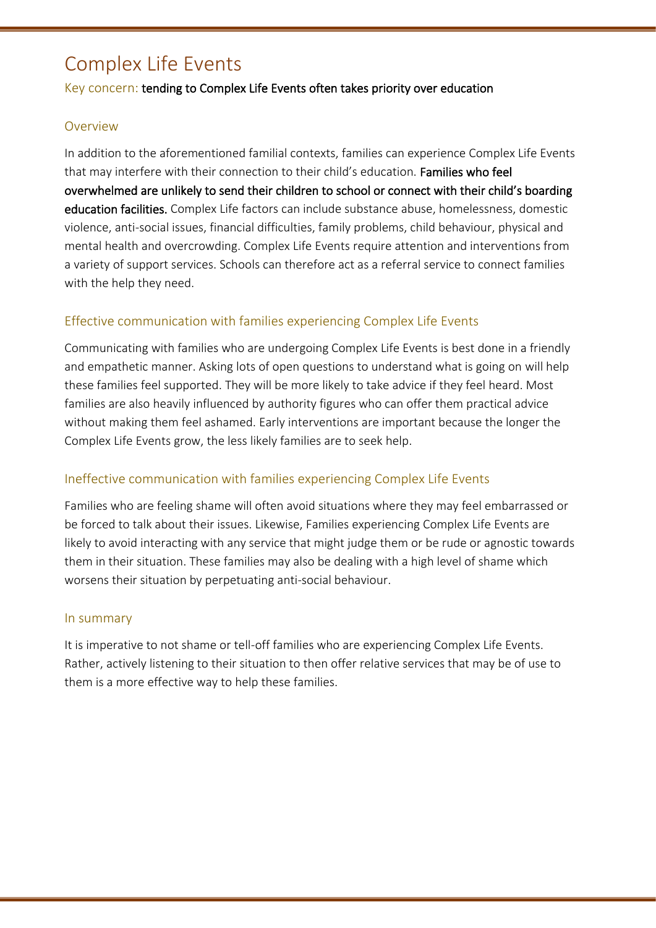# Complex Life Events

### Key concern: tending to Complex Life Events often takes priority over education

#### Overview

In addition to the aforementioned familial contexts, families can experience Complex Life Events that may interfere with their connection to their child's education. Families who feel overwhelmed are unlikely to send their children to school or connect with their child's boarding education facilities. Complex Life factors can include substance abuse, homelessness, domestic violence, anti-social issues, financial difficulties, family problems, child behaviour, physical and mental health and overcrowding. Complex Life Events require attention and interventions from a variety of support services. Schools can therefore act as a referral service to connect families with the help they need.

### Effective communication with families experiencing Complex Life Events

Communicating with families who are undergoing Complex Life Events is best done in a friendly and empathetic manner. Asking lots of open questions to understand what is going on will help these families feel supported. They will be more likely to take advice if they feel heard. Most families are also heavily influenced by authority figures who can offer them practical advice without making them feel ashamed. Early interventions are important because the longer the Complex Life Events grow, the less likely families are to seek help.

### Ineffective communication with families experiencing Complex Life Events

Families who are feeling shame will often avoid situations where they may feel embarrassed or be forced to talk about their issues. Likewise, Families experiencing Complex Life Events are likely to avoid interacting with any service that might judge them or be rude or agnostic towards them in their situation. These families may also be dealing with a high level of shame which worsens their situation by perpetuating anti-social behaviour.

#### In summary

It is imperative to not shame or tell-off families who are experiencing Complex Life Events. Rather, actively listening to their situation to then offer relative services that may be of use to them is a more effective way to help these families.